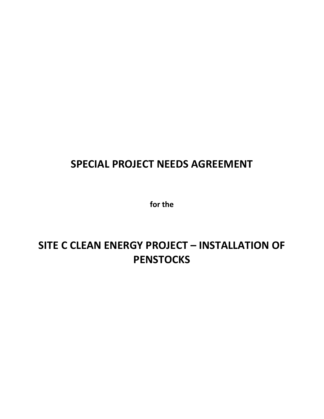## **SPECIAL PROJECT NEEDS AGREEMENT**

**for the**

# **SITE C CLEAN ENERGY PROJECT – INSTALLATION OF PENSTOCKS**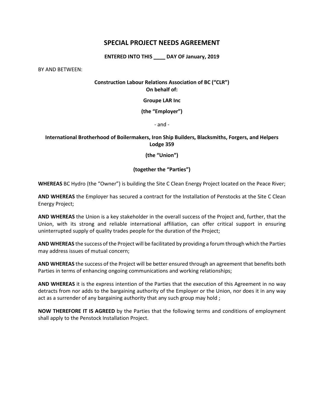## **SPECIAL PROJECT NEEDS AGREEMENT**

**ENTERED INTO THIS \_\_\_\_ DAY OF January, 2019**

BY AND BETWEEN:

## **Construction Labour Relations Association of BC ("CLR") On behalf of:**

**Groupe LAR Inc**

**(the "Employer")**

- and -

## **International Brotherhood of Boilermakers, Iron Ship Builders, Blacksmiths, Forgers, and Helpers Lodge 359**

**(the "Union")**

## **(together the "Parties")**

**WHEREAS** BC Hydro (the "Owner") is building the Site C Clean Energy Project located on the Peace River;

**AND WHEREAS** the Employer has secured a contract for the Installation of Penstocks at the Site C Clean Energy Project;

**AND WHEREAS** the Union is a key stakeholder in the overall success of the Project and, further, that the Union, with its strong and reliable international affiliation, can offer critical support in ensuring uninterrupted supply of quality trades people for the duration of the Project;

**AND WHEREAS** the success of the Project will be facilitated by providing a forum through which the Parties may address issues of mutual concern;

**AND WHEREAS** the success of the Project will be better ensured through an agreement that benefits both Parties in terms of enhancing ongoing communications and working relationships;

**AND WHEREAS** it is the express intention of the Parties that the execution of this Agreement in no way detracts from nor adds to the bargaining authority of the Employer or the Union, nor does it in any way act as a surrender of any bargaining authority that any such group may hold;

**NOW THEREFORE IT IS AGREED** by the Parties that the following terms and conditions of employment shall apply to the Penstock Installation Project.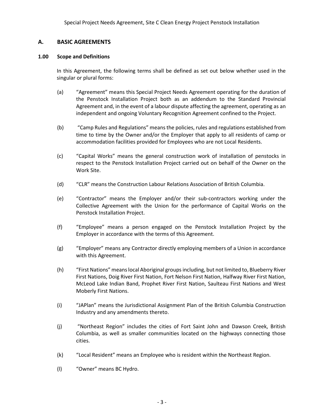## **A. BASIC AGREEMENTS**

## **1.00 Scope and Definitions**

In this Agreement, the following terms shall be defined as set out below whether used in the singular or plural forms:

- (a) "Agreement" means this Special Project Needs Agreement operating for the duration of the Penstock Installation Project both as an addendum to the Standard Provincial Agreement and, in the event of a labour dispute affecting the agreement, operating as an independent and ongoing Voluntary Recognition Agreement confined to the Project.
- (b) "Camp Rules and Regulations" means the policies, rules and regulations established from time to time by the Owner and/or the Employer that apply to all residents of camp or accommodation facilities provided for Employees who are not Local Residents.
- (c) "Capital Works" means the general construction work of installation of penstocks in respect to the Penstock Installation Project carried out on behalf of the Owner on the Work Site.
- (d) "CLR" means the Construction Labour Relations Association of British Columbia.
- (e) "Contractor" means the Employer and/or their sub-contractors working under the Collective Agreement with the Union for the performance of Capital Works on the Penstock Installation Project.
- (f) "Employee" means a person engaged on the Penstock Installation Project by the Employer in accordance with the terms of this Agreement.
- (g) "Employer" means any Contractor directly employing members of a Union in accordance with this Agreement.
- (h) "First Nations" meanslocal Aboriginal groups including, but not limited to, Blueberry River First Nations, Doig River First Nation, Fort Nelson First Nation, Halfway River First Nation, McLeod Lake Indian Band, Prophet River First Nation, Saulteau First Nations and West Moberly First Nations.
- (i) "JAPlan" means the Jurisdictional Assignment Plan of the British Columbia Construction Industry and any amendments thereto.
- (j) "Northeast Region" includes the cities of Fort Saint John and Dawson Creek, British Columbia, as well as smaller communities located on the highways connecting those cities.
- (k) "Local Resident" means an Employee who is resident within the Northeast Region.
- (l) "Owner" means BC Hydro.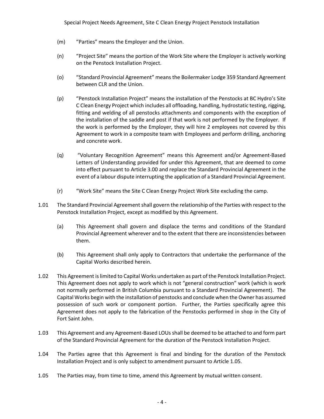- (m) "Parties" means the Employer and the Union.
- (n) "Project Site" means the portion of the Work Site where the Employer is actively working on the Penstock Installation Project.
- (o) "Standard Provincial Agreement" means the Boilermaker Lodge 359 Standard Agreement between CLR and the Union.
- (p) "Penstock Installation Project" means the installation of the Penstocks at BC Hydro's Site C Clean Energy Project which includes all offloading, handling, hydrostatic testing, rigging, fitting and welding of all penstocks attachments and components with the exception of the installation of the saddle and post if that work is not performed by the Employer. If the work is performed by the Employer, they will hire 2 employees not covered by this Agreement to work in a composite team with Employees and perform drilling, anchoring and concrete work.
- (q) "Voluntary Recognition Agreement" means this Agreement and/or Agreement-Based Letters of Understanding provided for under this Agreement, that are deemed to come into effect pursuant to Article 3.00 and replace the Standard Provincial Agreement in the event of a labour dispute interrupting the application of a Standard Provincial Agreement.
- (r) "Work Site" means the Site C Clean Energy Project Work Site excluding the camp.
- 1.01 The Standard Provincial Agreementshall govern the relationship of the Parties with respect to the Penstock Installation Project, except as modified by this Agreement.
	- (a) This Agreement shall govern and displace the terms and conditions of the Standard Provincial Agreement wherever and to the extent that there are inconsistencies between them.
	- (b) This Agreement shall only apply to Contractors that undertake the performance of the Capital Works described herein.
- 1.02 This Agreement is limited to Capital Works undertaken as part of the Penstock Installation Project. This Agreement does not apply to work which is not "general construction" work (which is work not normally performed in British Columbia pursuant to a Standard Provincial Agreement). The Capital Works begin with the installation of penstocks and conclude when the Owner has assumed possession of such work or component portion. Further, the Parties specifically agree this Agreement does not apply to the fabrication of the Penstocks performed in shop in the City of Fort Saint John.
- 1.03 This Agreement and any Agreement-Based LOUs shall be deemed to be attached to and form part of the Standard Provincial Agreement for the duration of the Penstock Installation Project.
- 1.04 The Parties agree that this Agreement is final and binding for the duration of the Penstock Installation Project and is only subject to amendment pursuant to Article 1.05.
- 1.05 The Parties may, from time to time, amend this Agreement by mutual written consent.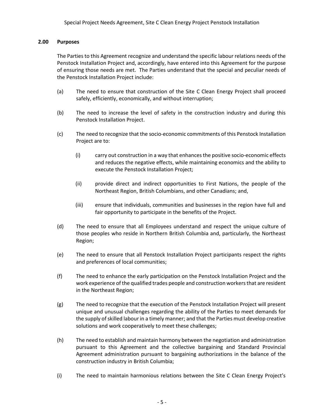## **2.00 Purposes**

The Parties to this Agreement recognize and understand the specific labour relations needs of the Penstock Installation Project and, accordingly, have entered into this Agreement for the purpose of ensuring those needs are met. The Parties understand that the special and peculiar needs of the Penstock Installation Project include:

- (a) The need to ensure that construction of the Site C Clean Energy Project shall proceed safely, efficiently, economically, and without interruption;
- (b) The need to increase the level of safety in the construction industry and during this Penstock Installation Project.
- (c) The need to recognize that the socio-economic commitments of this Penstock Installation Project are to:
	- (i) carry out construction in a way that enhances the positive socio-economic effects and reduces the negative effects, while maintaining economics and the ability to execute the Penstock Installation Project;
	- (ii) provide direct and indirect opportunities to First Nations, the people of the Northeast Region, British Columbians, and other Canadians; and,
	- (iii) ensure that individuals, communities and businesses in the region have full and fair opportunity to participate in the benefits of the Project.
- (d) The need to ensure that all Employees understand and respect the unique culture of those peoples who reside in Northern British Columbia and, particularly, the Northeast Region;
- (e) The need to ensure that all Penstock Installation Project participants respect the rights and preferences of local communities;
- (f) The need to enhance the early participation on the Penstock Installation Project and the work experience of the qualified trades people and construction workers that are resident in the Northeast Region;
- (g) The need to recognize that the execution of the Penstock Installation Project will present unique and unusual challenges regarding the ability of the Parties to meet demands for the supply of skilled labour in a timely manner; and that the Parties must develop creative solutions and work cooperatively to meet these challenges;
- (h) The need to establish and maintain harmony between the negotiation and administration pursuant to this Agreement and the collective bargaining and Standard Provincial Agreement administration pursuant to bargaining authorizations in the balance of the construction industry in British Columbia;
- (i) The need to maintain harmonious relations between the Site C Clean Energy Project's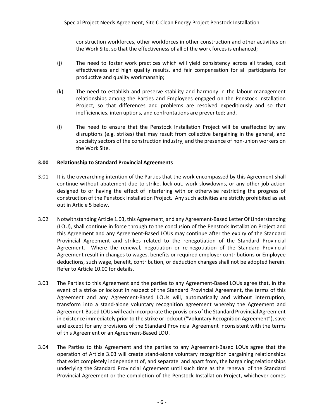construction workforces, other workforces in other construction and other activities on the Work Site, so that the effectiveness of all of the work forces is enhanced;

- (j) The need to foster work practices which will yield consistency across all trades, cost effectiveness and high quality results, and fair compensation for all participants for productive and quality workmanship;
- (k) The need to establish and preserve stability and harmony in the labour management relationships among the Parties and Employees engaged on the Penstock Installation Project, so that differences and problems are resolved expeditiously and so that inefficiencies, interruptions, and confrontations are prevented; and,
- (l) The need to ensure that the Penstock Installation Project will be unaffected by any disruptions (e.g. strikes) that may result from collective bargaining in the general, and specialty sectors of the construction industry, and the presence of non-union workers on the Work Site.

## **3.00 Relationship to Standard Provincial Agreements**

- 3.01 It is the overarching intention of the Parties that the work encompassed by this Agreement shall continue without abatement due to strike, lock-out, work slowdowns, or any other job action designed to or having the effect of interfering with or otherwise restricting the progress of construction of the Penstock Installation Project. Any such activities are strictly prohibited as set out in Article 5 below.
- 3.02 Notwithstanding Article 1.03, this Agreement, and any Agreement-Based Letter Of Understanding (LOU), shall continue in force through to the conclusion of the Penstock Installation Project and this Agreement and any Agreement-Based LOUs may continue after the expiry of the Standard Provincial Agreement and strikes related to the renegotiation of the Standard Provincial Agreement. Where the renewal, negotiation or re-negotiation of the Standard Provincial Agreement result in changes to wages, benefits or required employer contributions or Employee deductions, such wage, benefit, contribution, or deduction changes shall not be adopted herein. Refer to Article 10.00 for details.
- 3.03 The Parties to this Agreement and the parties to any Agreement-Based LOUs agree that, in the event of a strike or lockout in respect of the Standard Provincial Agreement, the terms of this Agreement and any Agreement-Based LOUs will, automatically and without interruption, transform into a stand-alone voluntary recognition agreement whereby the Agreement and Agreement-Based LOUs will each incorporate the provisions of the Standard Provincial Agreement in existence immediately prior to the strike or lockout ("Voluntary Recognition Agreement"), save and except for any provisions of the Standard Provincial Agreement inconsistent with the terms of this Agreement or an Agreement-Based LOU.
- 3.04 The Parties to this Agreement and the parties to any Agreement-Based LOUs agree that the operation of Article 3.03 will create stand-alone voluntary recognition bargaining relationships that exist completely independent of, and separate and apart from, the bargaining relationships underlying the Standard Provincial Agreement until such time as the renewal of the Standard Provincial Agreement or the completion of the Penstock Installation Project, whichever comes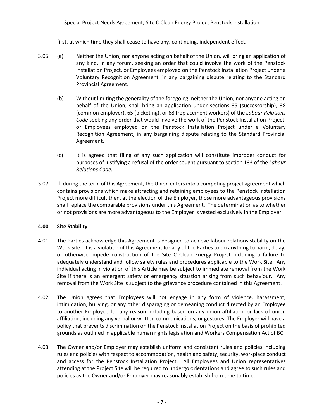## Special Project Needs Agreement, Site C Clean Energy Project Penstock Installation

first, at which time they shall cease to have any, continuing, independent effect.

- 3.05 (a) Neither the Union, nor anyone acting on behalf of the Union, will bring an application of any kind, in any forum, seeking an order that could involve the work of the Penstock Installation Project, or Employees employed on the Penstock Installation Project under a Voluntary Recognition Agreement, in any bargaining dispute relating to the Standard Provincial Agreement.
	- (b) Without limiting the generality of the foregoing, neither the Union, nor anyone acting on behalf of the Union, shall bring an application under sections 35 (successorship), 38 (common employer), 65 (picketing), or 68 (replacement workers) of the *Labour Relations Code* seeking any order that would involve the work of the Penstock Installation Project, or Employees employed on the Penstock Installation Project under a Voluntary Recognition Agreement, in any bargaining dispute relating to the Standard Provincial Agreement.
	- (c) It is agreed that filing of any such application will constitute improper conduct for purposes of justifying a refusal of the order sought pursuant to section 133 of the *Labour Relations Code.*
- 3.07 If, during the term of this Agreement, the Union entersinto a competing project agreement which contains provisions which make attracting and retaining employees to the Penstock Installation Project more difficult then, at the election of the Employer, those more advantageous provisions shall replace the comparable provisions under this Agreement. The determination as to whether or not provisions are more advantageous to the Employer is vested exclusively in the Employer.

## **4.00 Site Stability**

- 4.01 The Parties acknowledge this Agreement is designed to achieve labour relations stability on the Work Site. It is a violation of this Agreement for any of the Parties to do anything to harm, delay, or otherwise impede construction of the Site C Clean Energy Project including a failure to adequately understand and follow safety rules and procedures applicable to the Work Site. Any individual acting in violation of this Article may be subject to immediate removal from the Work Site if there is an emergent safety or emergency situation arising from such behaviour. Any removal from the Work Site is subject to the grievance procedure contained in this Agreement.
- 4.02 The Union agrees that Employees will not engage in any form of violence, harassment, intimidation, bullying, or any other disparaging or demeaning conduct directed by an Employee to another Employee for any reason including based on any union affiliation or lack of union affiliation, including any verbal or written communications, or gestures. The Employer will have a policy that prevents discrimination on the Penstock Installation Project on the basis of prohibited grounds as outlined in applicable human rights legislation and Workers Compensation Act of BC.
- 4.03 The Owner and/or Employer may establish uniform and consistent rules and policies including rules and policies with respect to accommodation, health and safety, security, workplace conduct and access for the Penstock Installation Project. All Employees and Union representatives attending at the Project Site will be required to undergo orientations and agree to such rules and policies as the Owner and/or Employer may reasonably establish from time to time.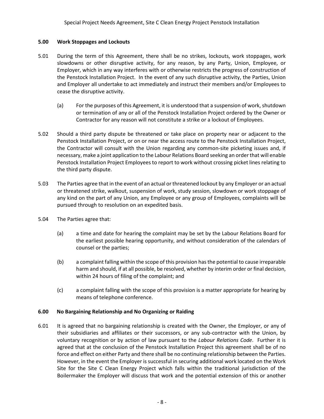## **5.00 Work Stoppages and Lockouts**

- 5.01 During the term of this Agreement, there shall be no strikes, lockouts, work stoppages, work slowdowns or other disruptive activity, for any reason, by any Party, Union, Employee, or Employer, which in any way interferes with or otherwise restricts the progress of construction of the Penstock Installation Project. In the event of any such disruptive activity, the Parties, Union and Employer all undertake to act immediately and instruct their members and/or Employees to cease the disruptive activity.
	- (a) For the purposes of this Agreement, it is understood that a suspension of work, shutdown or termination of any or all of the Penstock Installation Project ordered by the Owner or Contractor for any reason will not constitute a strike or a lockout of Employees.
- 5.02 Should a third party dispute be threatened or take place on property near or adjacent to the Penstock Installation Project, or on or near the access route to the Penstock Installation Project, the Contractor will consult with the Union regarding any common-site picketing issues and, if necessary, make a joint application to the Labour Relations Board seeking an order that will enable Penstock Installation Project Employees to report to work without crossing picket lines relating to the third party dispute.
- 5.03 The Parties agree that in the event of an actual or threatened lockout by any Employer or an actual or threatened strike, walkout, suspension of work, study session, slowdown or work stoppage of any kind on the part of any Union, any Employee or any group of Employees, complaints will be pursued through to resolution on an expedited basis.
- 5.04 The Parties agree that:
	- (a) a time and date for hearing the complaint may be set by the Labour Relations Board for the earliest possible hearing opportunity, and without consideration of the calendars of counsel or the parties;
	- (b) a complaint falling within the scope of this provision has the potential to cause irreparable harm and should, if at all possible, be resolved, whether by interim order or final decision, within 24 hours of filing of the complaint; and
	- (c) a complaint falling with the scope of this provision is a matter appropriate for hearing by means of telephone conference.

## **6.00 No Bargaining Relationship and No Organizing or Raiding**

6.01 It is agreed that no bargaining relationship is created with the Owner, the Employer, or any of their subsidiaries and affiliates or their successors, or any sub-contractor with the Union, by voluntary recognition or by action of law pursuant to the *Labour Relations Code*. Further it is agreed that at the conclusion of the Penstock Installation Project this agreement shall be of no force and effect on either Party and there shall be no continuing relationship between the Parties. However, in the event the Employer is successful in securing additional work located on the Work Site for the Site C Clean Energy Project which falls within the traditional jurisdiction of the Boilermaker the Employer will discuss that work and the potential extension of this or another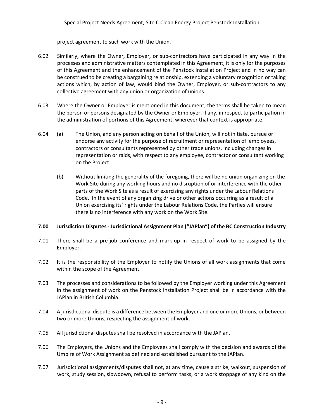project agreement to such work with the Union.

- 6.02 Similarly, where the Owner, Employer, or sub-contractors have participated in any way in the processes and administrative matters contemplated in this Agreement, it is only for the purposes of this Agreement and the enhancement of the Penstock Installation Project and in no way can be construed to be creating a bargaining relationship, extending a voluntary recognition or taking actions which, by action of law, would bind the Owner, Employer, or sub-contractors to any collective agreement with any union or organization of unions.
- 6.03 Where the Owner or Employer is mentioned in this document, the terms shall be taken to mean the person or persons designated by the Owner or Employer, if any, in respect to participation in the administration of portions of this Agreement, wherever that context is appropriate.
- 6.04 (a) The Union, and any person acting on behalf of the Union, will not initiate, pursue or endorse any activity for the purpose of recruitment or representation of employees, contractors or consultants represented by other trade unions, including changes in representation or raids, with respect to any employee, contractor or consultant working on the Project.
	- (b) Without limiting the generality of the foregoing, there will be no union organizing on the Work Site during any working hours and no disruption of or interference with the other parts of the Work Site as a result of exercising any rights under the Labour Relations Code. In the event of any organizing drive or other actions occurring as a result of a Union exercising its' rights under the Labour Relations Code, the Parties will ensure there is no interference with any work on the Work Site.

## **7.00 Jurisdiction Disputes - Jurisdictional Assignment Plan ("JAPlan") of the BC Construction Industry**

- 7.01 There shall be a pre-job conference and mark-up in respect of work to be assigned by the Employer.
- 7.02 It is the responsibility of the Employer to notify the Unions of all work assignments that come within the scope of the Agreement.
- 7.03 The processes and considerations to be followed by the Employer working under this Agreement in the assignment of work on the Penstock Installation Project shall be in accordance with the JAPlan in British Columbia.
- 7.04 A jurisdictional dispute is a difference between the Employer and one or more Unions, or between two or more Unions, respecting the assignment of work.
- 7.05 All jurisdictional disputes shall be resolved in accordance with the JAPlan.
- 7.06 The Employers, the Unions and the Employees shall comply with the decision and awards of the Umpire of Work Assignment as defined and established pursuant to the JAPlan.
- 7.07 Jurisdictional assignments/disputes shall not, at any time, cause a strike, walkout, suspension of work, study session, slowdown, refusal to perform tasks, or a work stoppage of any kind on the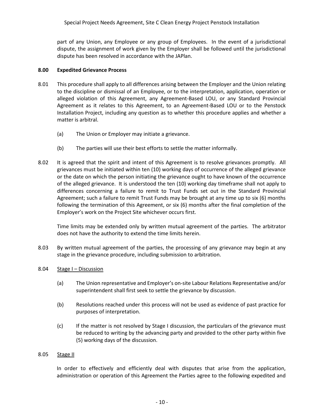part of any Union, any Employee or any group of Employees. In the event of a jurisdictional dispute, the assignment of work given by the Employer shall be followed until the jurisdictional dispute has been resolved in accordance with the JAPlan.

## **8.00 Expedited Grievance Process**

- 8.01 This procedure shall apply to all differences arising between the Employer and the Union relating to the discipline or dismissal of an Employee, or to the interpretation, application, operation or alleged violation of this Agreement, any Agreement-Based LOU, or any Standard Provincial Agreement as it relates to this Agreement, to an Agreement-Based LOU or to the Penstock Installation Project, including any question as to whether this procedure applies and whether a matter is arbitral.
	- (a) The Union or Employer may initiate a grievance.
	- (b) The parties will use their best efforts to settle the matter informally.
- 8.02 It is agreed that the spirit and intent of this Agreement is to resolve grievances promptly. All grievances must be initiated within ten (10) working days of occurrence of the alleged grievance or the date on which the person initiating the grievance ought to have known of the occurrence of the alleged grievance. It is understood the ten (10) working day timeframe shall not apply to differences concerning a failure to remit to Trust Funds set out in the Standard Provincial Agreement; such a failure to remit Trust Funds may be brought at any time up to six (6) months following the termination of this Agreement, or six (6) months after the final completion of the Employer's work on the Project Site whichever occurs first.

Time limits may be extended only by written mutual agreement of the parties. The arbitrator does not have the authority to extend the time limits herein.

- 8.03 By written mutual agreement of the parties, the processing of any grievance may begin at any stage in the grievance procedure, including submission to arbitration.
- 8.04 Stage I Discussion
	- (a) The Union representative and Employer's on-site Labour Relations Representative and/or superintendent shall first seek to settle the grievance by discussion.
	- (b) Resolutions reached under this process will not be used as evidence of past practice for purposes of interpretation.
	- (c) If the matter is not resolved by Stage I discussion, the particulars of the grievance must be reduced to writing by the advancing party and provided to the other party within five (5) working days of the discussion.

#### 8.05 Stage II

In order to effectively and efficiently deal with disputes that arise from the application, administration or operation of this Agreement the Parties agree to the following expedited and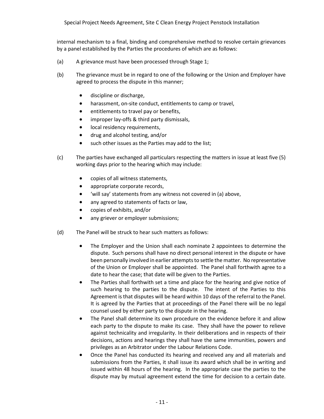internal mechanism to a final, binding and comprehensive method to resolve certain grievances by a panel established by the Parties the procedures of which are as follows:

- (a) A grievance must have been processed through Stage 1;
- (b) The grievance must be in regard to one of the following or the Union and Employer have agreed to process the dispute in this manner;
	- discipline or discharge,
	- harassment, on-site conduct, entitlements to camp or travel,
	- entitlements to travel pay or benefits,
	- improper lay-offs & third party dismissals,
	- local residency requirements,
	- drug and alcohol testing, and/or
	- such other issues as the Parties may add to the list;
- (c) The parties have exchanged all particulars respecting the matters in issue at least five (5) working days prior to the hearing which may include:
	- copies of all witness statements,
	- appropriate corporate records,
	- 'will say' statements from any witness not covered in (a) above,
	- any agreed to statements of facts or law,
	- copies of exhibits, and/or
	- any griever or employer submissions;
- (d) The Panel will be struck to hear such matters as follows:
	- The Employer and the Union shall each nominate 2 appointees to determine the dispute. Such persons shall have no direct personal interest in the dispute or have been personally involved in earlier attempts to settle the matter. No representative of the Union or Employer shall be appointed. The Panel shall forthwith agree to a date to hear the case; that date will be given to the Parties.
	- The Parties shall forthwith set a time and place for the hearing and give notice of such hearing to the parties to the dispute. The intent of the Parties to this Agreement is that disputes will be heard within 10 days of the referral to the Panel. It is agreed by the Parties that at proceedings of the Panel there will be no legal counsel used by either party to the dispute in the hearing.
	- The Panel shall determine its own procedure on the evidence before it and allow each party to the dispute to make its case. They shall have the power to relieve against technicality and irregularity. In their deliberations and in respects of their decisions, actions and hearings they shall have the same immunities, powers and privileges as an Arbitrator under the Labour Relations Code.
	- Once the Panel has conducted its hearing and received any and all materials and submissions from the Parties, it shall issue its award which shall be in writing and issued within 48 hours of the hearing. In the appropriate case the parties to the dispute may by mutual agreement extend the time for decision to a certain date.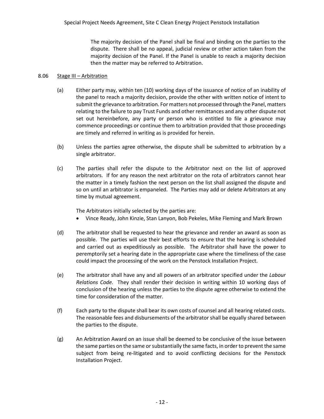The majority decision of the Panel shall be final and binding on the parties to the dispute. There shall be no appeal, judicial review or other action taken from the majority decision of the Panel. If the Panel is unable to reach a majority decision then the matter may be referred to Arbitration.

## 8.06 Stage III – Arbitration

- (a) Either party may, within ten (10) working days of the issuance of notice of an inability of the panel to reach a majority decision, provide the other with written notice of intent to submit the grievance to arbitration. For matters not processed through the Panel, matters relating to the failure to pay Trust Funds and other remittances and any other dispute not set out hereinbefore, any party or person who is entitled to file a grievance may commence proceedings or continue them to arbitration provided that those proceedings are timely and referred in writing as is provided for herein.
- (b) Unless the parties agree otherwise, the dispute shall be submitted to arbitration by a single arbitrator.
- (c) The parties shall refer the dispute to the Arbitrator next on the list of approved arbitrators. If for any reason the next arbitrator on the rota of arbitrators cannot hear the matter in a timely fashion the next person on the list shall assigned the dispute and so on until an arbitrator is empaneled. The Parties may add or delete Arbitrators at any time by mutual agreement.

The Arbitrators initially selected by the parties are:

- Vince Ready, John Kinzie, Stan Lanyon, Bob Pekeles, Mike Fleming and Mark Brown
- (d) The arbitrator shall be requested to hear the grievance and render an award as soon as possible. The parties will use their best efforts to ensure that the hearing is scheduled and carried out as expeditiously as possible. The Arbitrator shall have the power to peremptorily set a hearing date in the appropriate case where the timeliness of the case could impact the processing of the work on the Penstock Installation Project.
- (e) The arbitrator shall have any and all powers of an arbitrator specified under the *Labour Relations Code.* They shall render their decision in writing within 10 working days of conclusion of the hearing unless the parties to the dispute agree otherwise to extend the time for consideration of the matter.
- (f) Each party to the dispute shall bear its own costs of counsel and all hearing related costs. The reasonable fees and disbursements of the arbitrator shall be equally shared between the parties to the dispute.
- (g) An Arbitration Award on an issue shall be deemed to be conclusive of the issue between the same parties on the same or substantially the same facts, in order to prevent the same subject from being re-litigated and to avoid conflicting decisions for the Penstock Installation Project.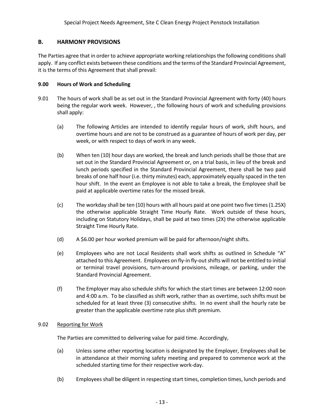## **B. HARMONY PROVISIONS**

The Parties agree that in order to achieve appropriate working relationships the following conditions shall apply. If any conflict exists between these conditions and the terms of the Standard Provincial Agreement, it is the terms of this Agreement that shall prevail:

## **9.00 Hours of Work and Scheduling**

- 9.01 The hours of work shall be as set out in the Standard Provincial Agreement with forty (40) hours being the regular work week. However, , the following hours of work and scheduling provisions shall apply:
	- (a) The following Articles are intended to identify regular hours of work, shift hours, and overtime hours and are not to be construed as a guarantee of hours of work per day, per week, or with respect to days of work in any week.
	- (b) When ten (10) hour days are worked, the break and lunch periods shall be those that are set out in the Standard Provincial Agreement or, on a trial basis, in lieu of the break and lunch periods specified in the Standard Provincial Agreement, there shall be two paid breaks of one half hour (i.e. thirty minutes) each, approximately equally spaced in the ten hour shift. In the event an Employee is not able to take a break, the Employee shall be paid at applicable overtime rates for the missed break.
	- (c) The workday shall be ten (10) hours with all hours paid at one point two five times(1.25X) the otherwise applicable Straight Time Hourly Rate. Work outside of these hours, including on Statutory Holidays, shall be paid at two times (2X) the otherwise applicable Straight Time Hourly Rate.
	- (d) A \$6.00 per hour worked premium will be paid for afternoon/night shifts.
	- (e) Employees who are not Local Residents shall work shifts as outlined in Schedule "A" attached to this Agreement. Employees on fly-in fly-out shifts will not be entitled to initial or terminal travel provisions, turn-around provisions, mileage, or parking, under the Standard Provincial Agreement.
	- (f) The Employer may also schedule shifts for which the start times are between 12:00 noon and 4:00 a.m. To be classified as shift work, rather than as overtime, such shifts must be scheduled for at least three (3) consecutive shifts. In no event shall the hourly rate be greater than the applicable overtime rate plus shift premium.

## 9.02 Reporting for Work

The Parties are committed to delivering value for paid time. Accordingly,

- (a) Unless some other reporting location is designated by the Employer, Employees shall be in attendance at their morning safety meeting and prepared to commence work at the scheduled starting time for their respective work-day.
- (b) Employees shall be diligent in respecting start times, completion times, lunch periods and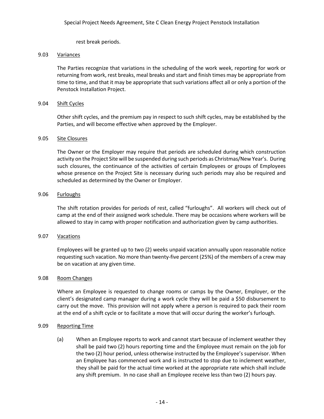rest break periods.

## 9.03 Variances

The Parties recognize that variations in the scheduling of the work week, reporting for work or returning from work, rest breaks, meal breaks and start and finish times may be appropriate from time to time, and that it may be appropriate that such variations affect all or only a portion of the Penstock Installation Project.

## 9.04 Shift Cycles

Other shift cycles, and the premium pay in respect to such shift cycles, may be established by the Parties, and will become effective when approved by the Employer.

## 9.05 Site Closures

The Owner or the Employer may require that periods are scheduled during which construction activity on the Project Site will be suspended during such periods as Christmas/New Year's. During such closures, the continuance of the activities of certain Employees or groups of Employees whose presence on the Project Site is necessary during such periods may also be required and scheduled as determined by the Owner or Employer.

## 9.06 Furloughs

The shift rotation provides for periods of rest, called "furloughs". All workers will check out of camp at the end of their assigned work schedule. There may be occasions where workers will be allowed to stay in camp with proper notification and authorization given by camp authorities.

## 9.07 Vacations

Employees will be granted up to two (2) weeks unpaid vacation annually upon reasonable notice requesting such vacation. No more than twenty-five percent (25%) of the members of a crew may be on vacation at any given time.

#### 9.08 Room Changes

Where an Employee is requested to change rooms or camps by the Owner, Employer, or the client's designated camp manager during a work cycle they will be paid a \$50 disbursement to carry out the move. This provision will not apply where a person is required to pack their room at the end of a shift cycle or to facilitate a move that will occur during the worker's furlough.

## 9.09 Reporting Time

(a) When an Employee reports to work and cannot start because of inclement weather they shall be paid two (2) hours reporting time and the Employee must remain on the job for the two (2) hour period, unless otherwise instructed by the Employee's supervisor. When an Employee has commenced work and is instructed to stop due to inclement weather, they shall be paid for the actual time worked at the appropriate rate which shall include any shift premium. In no case shall an Employee receive less than two (2) hours pay.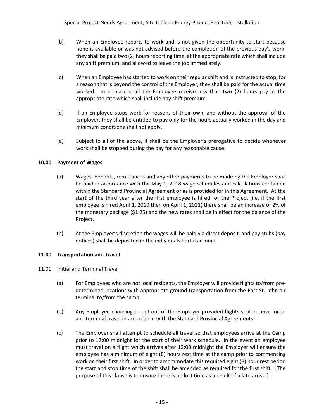- (b) When an Employee reports to work and is not given the opportunity to start because none is available or was not advised before the completion of the previous day's work, they shall be paid two (2) hours reporting time, at the appropriate rate which shall include any shift premium, and allowed to leave the job immediately.
- (c) When an Employee has started to work on their regular shift and is instructed to stop, for a reason that is beyond the control of the Employer, they shall be paid for the actual time worked. In no case shall the Employee receive less than two (2) hours pay at the appropriate rate which shall include any shift premium.
- (d) If an Employee stops work for reasons of their own, and without the approval of the Employer, they shall be entitled to pay only for the hours actually worked in the day and minimum conditions shall not apply.
- (e) Subject to all of the above, it shall be the Employer's prerogative to decide whenever work shall be stopped during the day for any reasonable cause.

## **10.00 Payment of Wages**

- (a) Wages, benefits, remittances and any other payments to be made by the Employer shall be paid in accordance with the May 1, 2018 wage schedules and calculations contained within the Standard Provincial Agreement or as is provided for in this Agreement. At the start of the third year after the first employee is hired for the Project (i.e. if the first employee is hired April 1, 2019 then on April 1, 2021) there shall be an increase of 2% of the monetary package (\$1.25) and the new rates shall be in effect for the balance of the Project.
- (b) At the Employer's discretion the wages will be paid via direct deposit, and pay stubs (pay notices) shall be deposited in the individuals Portal account.

## **11.00 Transportation and Travel**

## 11.01 Initial and Terminal Travel

- (a) For Employees who are not local residents, the Employer will provide flights to/from predetermined locations with appropriate ground transportation from the Fort St. John air terminal to/from the camp.
- (b) Any Employee choosing to opt out of the Employer provided flights shall receive initial and terminal travel in accordance with the Standard Provincial Agreements.
- (c) The Employer shall attempt to schedule all travel so that employees arrive at the Camp prior to 12:00 midnight for the start of their work schedule. In the event an employee must travel on a flight which arrives after 12:00 midnight the Employer will ensure the employee has a minimum of eight (8) hours rest time at the camp prior to commencing work on their first shift. In order to accommodate this required eight (8) hour rest period the start and stop time of the shift shall be amended as required for the first shift. [The purpose of this clause is to ensure there is no lost time as a result of a late arrival]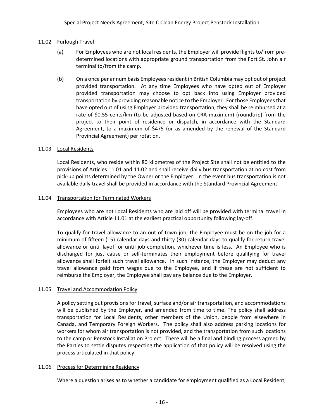## 11.02 Furlough Travel

- (a) For Employees who are not local residents, the Employer will provide flights to/from predetermined locations with appropriate ground transportation from the Fort St. John air terminal to/from the camp.
- (b) On a once per annum basis Employees resident in British Columbia may opt out of project provided transportation. At any time Employees who have opted out of Employer provided transportation may choose to opt back into using Employer provided transportation by providing reasonable notice to the Employer. For those Employees that have opted out of using Employer provided transportation, they shall be reimbursed at a rate of \$0.55 cents/km (to be adjusted based on CRA maximum) (roundtrip) from the project to their point of residence or dispatch, in accordance with the Standard Agreement, to a maximum of \$475 (or as amended by the renewal of the Standard Provincial Agreement) per rotation.

## 11.03 Local Residents

Local Residents, who reside within 80 kilometres of the Project Site shall not be entitled to the provisions of Articles 11.01 and 11.02 and shall receive daily bus transportation at no cost from pick-up points determined by the Owner or the Employer. In the event bus transportation is not available daily travel shall be provided in accordance with the Standard Provincial Agreement.

## 11.04 Transportation for Terminated Workers

Employees who are not Local Residents who are laid off will be provided with terminal travel in accordance with Article 11.01 at the earliest practical opportunity following lay-off.

To qualify for travel allowance to an out of town job, the Employee must be on the job for a minimum of fifteen (15) calendar days and thirty (30) calendar days to qualify for return travel allowance or until layoff or until job completion, whichever time is less. An Employee who is discharged for just cause or self-terminates their employment before qualifying for travel allowance shall forfeit such travel allowance. In such instance, the Employer may deduct any travel allowance paid from wages due to the Employee, and if these are not sufficient to reimburse the Employer, the Employee shall pay any balance due to the Employer.

## 11.05 Travel and Accommodation Policy

A policy setting out provisions for travel, surface and/or air transportation, and accommodations will be published by the Employer, and amended from time to time. The policy shall address transportation for Local Residents, other members of the Union, people from elsewhere in Canada, and Temporary Foreign Workers. The policy shall also address parking locations for workers for whom air transportation is not provided, and the transportation from such locations to the camp or Penstock Installation Project. There will be a final and binding process agreed by the Parties to settle disputes respecting the application of that policy will be resolved using the process articulated in that policy.

#### 11.06 Process for Determining Residency

Where a question arises as to whether a candidate for employment qualified as a Local Resident,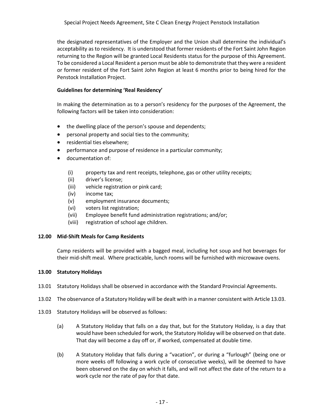the designated representatives of the Employer and the Union shall determine the individual's acceptability as to residency. It is understood that former residents of the Fort Saint John Region returning to the Region will be granted Local Residents status for the purpose of this Agreement. To be considered a Local Resident a person must be able to demonstrate that they were a resident or former resident of the Fort Saint John Region at least 6 months prior to being hired for the Penstock Installation Project.

## **Guidelines for determining 'Real Residency'**

In making the determination as to a person's residency for the purposes of the Agreement, the following factors will be taken into consideration:

- the dwelling place of the person's spouse and dependents;
- personal property and social ties to the community;
- residential ties elsewhere;
- performance and purpose of residence in a particular community;
- documentation of:
	- (i) property tax and rent receipts, telephone, gas or other utility receipts;
	- (ii) driver's license;
	- (iii) vehicle registration or pink card;
	- (iv) income tax;
	- (v) employment insurance documents;
	- (vi) voters list registration;
	- (vii) Employee benefit fund administration registrations; and/or;
	- (viii) registration of school age children.

## **12.00 Mid-Shift Meals for Camp Residents**

Camp residents will be provided with a bagged meal, including hot soup and hot beverages for their mid-shift meal. Where practicable, lunch rooms will be furnished with microwave ovens.

## **13.00 Statutory Holidays**

- 13.01 Statutory Holidays shall be observed in accordance with the Standard Provincial Agreements.
- 13.02 The observance of a Statutory Holiday will be dealt with in a manner consistent with Article 13.03.
- 13.03 Statutory Holidays will be observed as follows:
	- (a) A Statutory Holiday that falls on a day that, but for the Statutory Holiday, is a day that would have been scheduled for work, the Statutory Holiday will be observed on that date. That day will become a day off or, if worked, compensated at double time.
	- (b) A Statutory Holiday that falls during a "vacation", or during a "furlough" (being one or more weeks off following a work cycle of consecutive weeks), will be deemed to have been observed on the day on which it falls, and will not affect the date of the return to a work cycle nor the rate of pay for that date.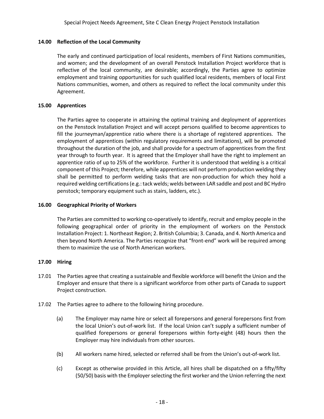## **14.00 Reflection of the Local Community**

The early and continued participation of local residents, members of First Nations communities, and women; and the development of an overall Penstock Installation Project workforce that is reflective of the local community, are desirable; accordingly, the Parties agree to optimize employment and training opportunities for such qualified local residents, members of local First Nations communities, women, and others as required to reflect the local community under this Agreement.

## **15.00 Apprentices**

The Parties agree to cooperate in attaining the optimal training and deployment of apprentices on the Penstock Installation Project and will accept persons qualified to become apprentices to fill the journeyman/apprentice ratio where there is a shortage of registered apprentices. The employment of apprentices (within regulatory requirements and limitations), will be promoted throughout the duration of the job, and shall provide for a spectrum of apprentices from the first year through to fourth year. It is agreed that the Employer shall have the right to implement an apprentice ratio of up to 25% of the workforce. Further it is understood that welding is a critical component of this Project; therefore, while apprentices will not perform production welding they shall be permitted to perform welding tasks that are non-production for which they hold a required welding certifications (e.g.: tack welds; welds between LAR saddle and post and BC Hydro penstock; temporary equipment such as stairs, ladders, etc.).

## **16.00 Geographical Priority of Workers**

The Parties are committed to working co-operatively to identify, recruit and employ people in the following geographical order of priority in the employment of workers on the Penstock Installation Project: 1. Northeast Region; 2. British Columbia; 3. Canada, and 4. North America and then beyond North America. The Parties recognize that "front-end" work will be required among them to maximize the use of North American workers.

## **17.00 Hiring**

- 17.01 The Parties agree that creating a sustainable and flexible workforce will benefit the Union and the Employer and ensure that there is a significant workforce from other parts of Canada to support Project construction.
- 17.02 The Parties agree to adhere to the following hiring procedure.
	- (a) The Employer may name hire or select all forepersons and general forepersons first from the local Union's out-of-work list. If the local Union can't supply a sufficient number of qualified forepersons or general forepersons within forty-eight (48) hours then the Employer may hire individuals from other sources.
	- (b) All workers name hired, selected or referred shall be from the Union's out-of-work list.
	- (c) Except as otherwise provided in this Article, all hires shall be dispatched on a fifty/fifty (50/50) basis with the Employer selecting the first worker and the Union referring the next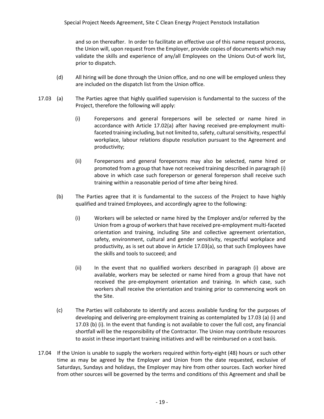and so on thereafter. In order to facilitate an effective use of this name request process, the Union will, upon request from the Employer, provide copies of documents which may validate the skills and experience of any/all Employees on the Unions Out-of work list, prior to dispatch.

- (d) All hiring will be done through the Union office, and no one will be employed unless they are included on the dispatch list from the Union office.
- 17.03 (a) The Parties agree that highly qualified supervision is fundamental to the success of the Project, therefore the following will apply:
	- (i) Forepersons and general forepersons will be selected or name hired in accordance with Article 17.02(a) after having received pre-employment multifaceted training including, but not limited to, safety, cultural sensitivity, respectful workplace, labour relations dispute resolution pursuant to the Agreement and productivity;
	- (ii) Forepersons and general forepersons may also be selected, name hired or promoted from a group that have not received training described in paragraph (i) above in which case such foreperson or general foreperson shall receive such training within a reasonable period of time after being hired.
	- (b) The Parties agree that it is fundamental to the success of the Project to have highly qualified and trained Employees, and accordingly agree to the following:
		- (i) Workers will be selected or name hired by the Employer and/or referred by the Union from a group of workers that have received pre-employment multi-faceted orientation and training, including Site and collective agreement orientation, safety, environment, cultural and gender sensitivity, respectful workplace and productivity, as is set out above in Article 17.03(a), so that such Employees have the skills and tools to succeed; and
		- (ii) In the event that no qualified workers described in paragraph (i) above are available, workers may be selected or name hired from a group that have not received the pre-employment orientation and training. In which case, such workers shall receive the orientation and training prior to commencing work on the Site.
	- (c) The Parties will collaborate to identify and access available funding for the purposes of developing and delivering pre-employment training as contemplated by 17.03 (a) (i) and 17.03 (b) (i). In the event that funding is not available to cover the full cost, any financial shortfall will be the responsibility of the Contractor. The Union may contribute resources to assist in these important training initiatives and will be reimbursed on a cost basis.
- 17.04 If the Union is unable to supply the workers required within forty-eight (48) hours or such other time as may be agreed by the Employer and Union from the date requested, exclusive of Saturdays, Sundays and holidays, the Employer may hire from other sources. Each worker hired from other sources will be governed by the terms and conditions of this Agreement and shall be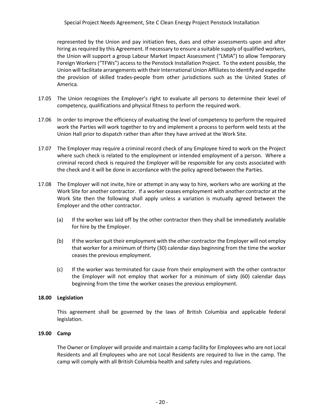represented by the Union and pay initiation fees, dues and other assessments upon and after hiring as required by this Agreement. If necessary to ensure a suitable supply of qualified workers, the Union will support a group Labour Market Impact Assessment ("LMIA") to allow Temporary Foreign Workers ("TFWs") access to the Penstock Installation Project. To the extent possible, the Union will facilitate arrangements with their International Union Affiliates to identify and expedite the provision of skilled trades-people from other jurisdictions such as the United States of America.

- 17.05 The Union recognizes the Employer's right to evaluate all persons to determine their level of competency, qualifications and physical fitness to perform the required work.
- 17.06 In order to improve the efficiency of evaluating the level of competency to perform the required work the Parties will work together to try and implement a process to perform weld tests at the Union Hall prior to dispatch rather than after they have arrived at the Work Site.
- 17.07 The Employer may require a criminal record check of any Employee hired to work on the Project where such check is related to the employment or intended employment of a person. Where a criminal record check is required the Employer will be responsible for any costs associated with the check and it will be done in accordance with the policy agreed between the Parties.
- 17.08 The Employer will not invite, hire or attempt in any way to hire, workers who are working at the Work Site for another contractor. If a worker ceases employment with another contractor at the Work Site then the following shall apply unless a variation is mutually agreed between the Employer and the other contractor.
	- (a) If the worker was laid off by the other contractor then they shall be immediately available for hire by the Employer.
	- (b) If the worker quit their employment with the other contractor the Employer will not employ that worker for a minimum of thirty (30) calendar days beginning from the time the worker ceases the previous employment.
	- (c) If the worker was terminated for cause from their employment with the other contractor the Employer will not employ that worker for a minimum of sixty (60) calendar days beginning from the time the worker ceases the previous employment.

## **18.00 Legislation**

This agreement shall be governed by the laws of British Columbia and applicable federal legislation.

## **19.00 Camp**

The Owner or Employer will provide and maintain a camp facility for Employees who are not Local Residents and all Employees who are not Local Residents are required to live in the camp. The camp will comply with all British Columbia health and safety rules and regulations.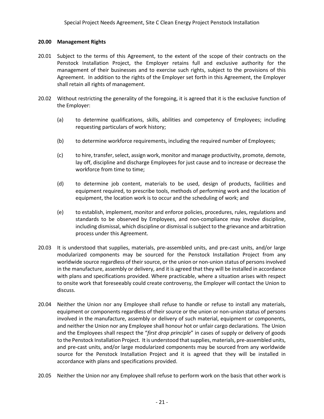## **20.00 Management Rights**

- 20.01 Subject to the terms of this Agreement, to the extent of the scope of their contracts on the Penstock Installation Project, the Employer retains full and exclusive authority for the management of their businesses and to exercise such rights, subject to the provisions of this Agreement. In addition to the rights of the Employer set forth in this Agreement, the Employer shall retain all rights of management.
- 20.02 Without restricting the generality of the foregoing, it is agreed that it is the exclusive function of the Employer:
	- (a) to determine qualifications, skills, abilities and competency of Employees; including requesting particulars of work history;
	- (b) to determine workforce requirements, including the required number of Employees;
	- (c) to hire, transfer, select, assign work, monitor and manage productivity, promote, demote, lay off, discipline and discharge Employees for just cause and to increase or decrease the workforce from time to time;
	- (d) to determine job content, materials to be used, design of products, facilities and equipment required, to prescribe tools, methods of performing work and the location of equipment, the location work is to occur and the scheduling of work; and
	- (e) to establish, implement, monitor and enforce policies, procedures, rules, regulations and standards to be observed by Employees, and non-compliance may involve discipline, including dismissal, which discipline or dismissal is subject to the grievance and arbitration process under this Agreement.
- 20.03 It is understood that supplies, materials, pre-assembled units, and pre-cast units, and/or large modularized components may be sourced for the Penstock Installation Project from any worldwide source regardless of their source, or the union or non-union status of persons involved in the manufacture, assembly or delivery, and it is agreed that they will be installed in accordance with plans and specifications provided. Where practicable, where a situation arises with respect to onsite work that foreseeably could create controversy, the Employer will contact the Union to discuss.
- 20.04 Neither the Union nor any Employee shall refuse to handle or refuse to install any materials, equipment or components regardless of their source or the union or non-union status of persons involved in the manufacture, assembly or delivery of such material, equipment or components, and neither the Union nor any Employee shall honour hot or unfair cargo declarations. The Union and the Employees shall respect the "*first drop principle*" in cases of supply or delivery of goods to the Penstock Installation Project. It is understood that supplies, materials, pre-assembled units, and pre-cast units, and/or large modularized components may be sourced from any worldwide source for the Penstock Installation Project and it is agreed that they will be installed in accordance with plans and specifications provided.
- 20.05 Neither the Union nor any Employee shall refuse to perform work on the basis that other work is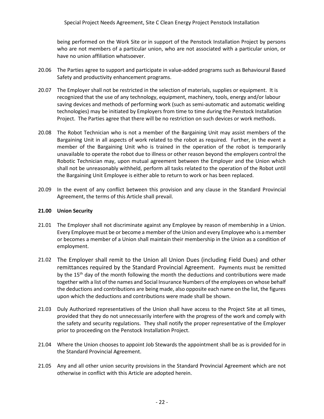being performed on the Work Site or in support of the Penstock Installation Project by persons who are not members of a particular union, who are not associated with a particular union, or have no union affiliation whatsoever.

- 20.06 The Parties agree to support and participate in value-added programs such as Behavioural Based Safety and productivity enhancement programs.
- 20.07 The Employer shall not be restricted in the selection of materials, supplies or equipment. It is recognized that the use of any technology, equipment, machinery, tools, energy and/or labour saving devices and methods of performing work (such as semi-automatic and automatic welding technologies) may be initiated by Employers from time to time during the Penstock Installation Project. The Parties agree that there will be no restriction on such devices or work methods.
- 20.08 The Robot Technician who is not a member of the Bargaining Unit may assist members of the Bargaining Unit in all aspects of work related to the robot as required. Further, in the event a member of the Bargaining Unit who is trained in the operation of the robot is temporarily unavailable to operate the robot due to illness or other reason beyond the employers control the Robotic Technician may, upon mutual agreement between the Employer and the Union which shall not be unreasonably withheld, perform all tasks related to the operation of the Robot until the Bargaining Unit Employee is either able to return to work or has been replaced.
- 20.09 In the event of any conflict between this provision and any clause in the Standard Provincial Agreement, the terms of this Article shall prevail.

## **21.00 Union Security**

- 21.01 The Employer shall not discriminate against any Employee by reason of membership in a Union. Every Employee must be or become a member of the Union and every Employee who is a member or becomes a member of a Union shall maintain their membership in the Union as a condition of employment.
- 21.02 The Employer shall remit to the Union all Union Dues (including Field Dues) and other remittances required by the Standard Provincial Agreement. Payments must be remitted by the 15<sup>th</sup> day of the month following the month the deductions and contributions were made together with a list of the names and Social Insurance Numbers of the employees on whose behalf the deductions and contributions are being made, also opposite each name on the list, the figures upon which the deductions and contributions were made shall be shown.
- 21.03 Duly Authorized representatives of the Union shall have access to the Project Site at all times, provided that they do not unnecessarily interfere with the progress of the work and comply with the safety and security regulations. They shall notify the proper representative of the Employer prior to proceeding on the Penstock Installation Project.
- 21.04 Where the Union chooses to appoint Job Stewards the appointment shall be as is provided for in the Standard Provincial Agreement.
- 21.05 Any and all other union security provisions in the Standard Provincial Agreement which are not otherwise in conflict with this Article are adopted herein.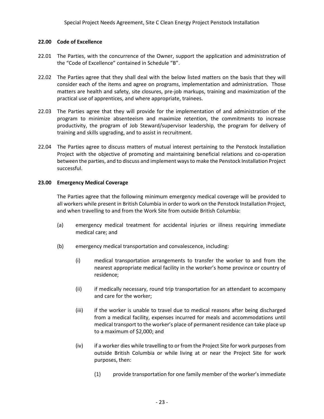## **22.00 Code of Excellence**

- 22.01 The Parties, with the concurrence of the Owner, support the application and administration of the "Code of Excellence" contained in Schedule "B".
- 22.02 The Parties agree that they shall deal with the below listed matters on the basis that they will consider each of the items and agree on programs, implementation and administration. Those matters are health and safety, site closures, pre-job markups, training and maximization of the practical use of apprentices, and where appropriate, trainees.
- 22.03 The Parties agree that they will provide for the implementation of and administration of the program to minimize absenteeism and maximize retention, the commitments to increase productivity, the program of Job Steward/supervisor leadership, the program for delivery of training and skills upgrading, and to assist in recruitment.
- 22.04 The Parties agree to discuss matters of mutual interest pertaining to the Penstock Installation Project with the objective of promoting and maintaining beneficial relations and co-operation between the parties, and to discuss and implement ways to make the Penstock Installation Project successful.

## **23.00 Emergency Medical Coverage**

The Parties agree that the following minimum emergency medical coverage will be provided to all workers while present in British Columbia in order to work on the Penstock Installation Project, and when travelling to and from the Work Site from outside British Columbia:

- (a) emergency medical treatment for accidental injuries or illness requiring immediate medical care; and
- (b) emergency medical transportation and convalescence, including:
	- (i) medical transportation arrangements to transfer the worker to and from the nearest appropriate medical facility in the worker's home province or country of residence;
	- (ii) if medically necessary, round trip transportation for an attendant to accompany and care for the worker;
	- (iii) if the worker is unable to travel due to medical reasons after being discharged from a medical facility, expenses incurred for meals and accommodations until medical transport to the worker's place of permanent residence can take place up to a maximum of \$2,000; and
	- (iv) if a worker dies while travelling to or from the Project Site for work purposes from outside British Columbia or while living at or near the Project Site for work purposes, then:
		- (1) provide transportation for one family member of the worker's immediate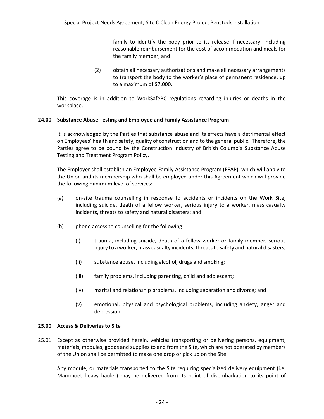family to identify the body prior to its release if necessary, including reasonable reimbursement for the cost of accommodation and meals for the family member; and

(2) obtain all necessary authorizations and make all necessary arrangements to transport the body to the worker's place of permanent residence, up to a maximum of \$7,000.

This coverage is in addition to WorkSafeBC regulations regarding injuries or deaths in the workplace.

## **24.00 Substance Abuse Testing and Employee and Family Assistance Program**

It is acknowledged by the Parties that substance abuse and its effects have a detrimental effect on Employees' health and safety, quality of construction and to the general public. Therefore, the Parties agree to be bound by the Construction Industry of British Columbia Substance Abuse Testing and Treatment Program Policy.

The Employer shall establish an Employee Family Assistance Program (EFAP), which will apply to the Union and its membership who shall be employed under this Agreement which will provide the following minimum level of services:

- (a) on-site trauma counselling in response to accidents or incidents on the Work Site, including suicide, death of a fellow worker, serious injury to a worker, mass casualty incidents, threats to safety and natural disasters; and
- (b) phone access to counselling for the following:
	- (i) trauma, including suicide, death of a fellow worker or family member, serious injury to a worker, mass casualty incidents, threats to safety and natural disasters;
	- (ii) substance abuse, including alcohol, drugs and smoking;
	- (iii) family problems, including parenting, child and adolescent;
	- (iv) marital and relationship problems, including separation and divorce; and
	- (v) emotional, physical and psychological problems, including anxiety, anger and depression.

## **25.00 Access & Deliveries to Site**

25.01 Except as otherwise provided herein, vehicles transporting or delivering persons, equipment, materials, modules, goods and supplies to and from the Site, which are not operated by members of the Union shall be permitted to make one drop or pick up on the Site.

Any module, or materials transported to the Site requiring specialized delivery equipment (i.e. Mammoet heavy hauler) may be delivered from its point of disembarkation to its point of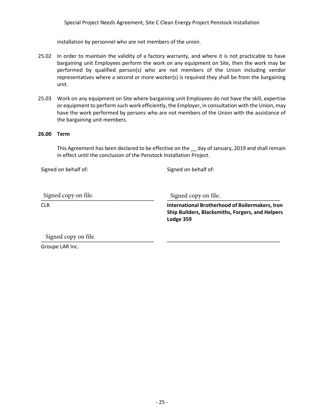Special Project Needs Agreement, Site C Clean Energy Project Penstock Installation

installation by personnel who are not members of the union.

- 25.02 In order to maintain the validity of a factory warranty, and where it is not practicable to have bargaining unit Employees perform the work on any equipment on Site, then the work may be performed by qualified person(s) who are not members of the Union including vendor representatives where a second or more worker(s) is required they shall be from the bargaining unit.
- 25.03 Work on any equipment on Site where bargaining unit Employees do not have the skill, expertise or equipment to perform such work efficiently, the Employer, in consultation with the Union, may have the work performed by persons who are not members of the Union with the assistance of the bargaining unit members.

## **26.00 Term**

This Agreement has been declared to be effective on the \_\_ day of January, 2019 and shall remain in effect until the conclusion of the Penstock Installation Project.

Signed on behalf of: Signed on behalf of:

Signed copy on file.<br>————————————————————

CLR

Signed copy on file.

**International Brotherhood of Boilermakers, Iron Ship Builders, Blacksmiths, Forgers, and Helpers Lodge 359**

\_\_\_\_\_\_\_\_\_\_\_\_\_\_\_\_\_\_\_\_\_\_\_\_\_\_\_\_\_\_\_\_\_\_\_\_\_\_\_

Signed copy on file.

Groupe LAR Inc.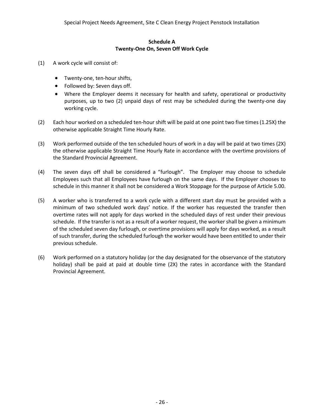## **Schedule A Twenty-One On, Seven Off Work Cycle**

- (1) A work cycle will consist of:
	- Twenty-one, ten-hour shifts,
	- Followed by: Seven days off.
	- Where the Employer deems it necessary for health and safety, operational or productivity purposes, up to two (2) unpaid days of rest may be scheduled during the twenty-one day working cycle.
- (2) Each hour worked on a scheduled ten-hour shift will be paid at one point two five times (1.25X) the otherwise applicable Straight Time Hourly Rate.
- (3) Work performed outside of the ten scheduled hours of work in a day will be paid at two times (2X) the otherwise applicable Straight Time Hourly Rate in accordance with the overtime provisions of the Standard Provincial Agreement.
- (4) The seven days off shall be considered a "furlough". The Employer may choose to schedule Employees such that all Employees have furlough on the same days. If the Employer chooses to schedule in this manner it shall not be considered a Work Stoppage for the purpose of Article 5.00.
- (5) A worker who is transferred to a work cycle with a different start day must be provided with a minimum of two scheduled work days' notice. If the worker has requested the transfer then overtime rates will not apply for days worked in the scheduled days of rest under their previous schedule. If the transfer is not as a result of a worker request, the worker shall be given a minimum of the scheduled seven day furlough, or overtime provisions will apply for days worked, as a result of such transfer, during the scheduled furlough the worker would have been entitled to under their previous schedule.
- (6) Work performed on a statutory holiday (or the day designated for the observance of the statutory holiday) shall be paid at paid at double time (2X) the rates in accordance with the Standard Provincial Agreement.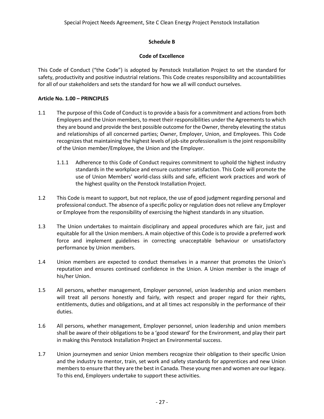## **Schedule B**

## **Code of Excellence**

This Code of Conduct ("the Code") is adopted by Penstock Installation Project to set the standard for safety, productivity and positive industrial relations. This Code creates responsibility and accountabilities for all of our stakeholders and sets the standard for how we all will conduct ourselves.

## **Article No. 1.00 – PRINCIPLES**

- 1.1 The purpose of this Code of Conduct is to provide a basis for a commitment and actions from both Employers and the Union members, to meet their responsibilities under the Agreements to which they are bound and provide the best possible outcome for the Owner, thereby elevating the status and relationships of all concerned parties; Owner, Employer, Union, and Employees. This Code recognizes that maintaining the highest levels of job-site professionalism is the joint responsibility of the Union member/Employee, the Union and the Employer.
	- 1.1.1 Adherence to this Code of Conduct requires commitment to uphold the highest industry standards in the workplace and ensure customer satisfaction. This Code will promote the use of Union Members' world-class skills and safe, efficient work practices and work of the highest quality on the Penstock Installation Project.
- 1.2 This Code is meant to support, but not replace, the use of good judgment regarding personal and professional conduct. The absence of a specific policy or regulation does not relieve any Employer or Employee from the responsibility of exercising the highest standards in any situation.
- 1.3 The Union undertakes to maintain disciplinary and appeal procedures which are fair, just and equitable for all the Union members. A main objective of this Code is to provide a preferred work force and implement guidelines in correcting unacceptable behaviour or unsatisfactory performance by Union members.
- 1.4 Union members are expected to conduct themselves in a manner that promotes the Union's reputation and ensures continued confidence in the Union. A Union member is the image of his/her Union.
- 1.5 All persons, whether management, Employer personnel, union leadership and union members will treat all persons honestly and fairly, with respect and proper regard for their rights, entitlements, duties and obligations, and at all times act responsibly in the performance of their duties.
- 1.6 All persons, whether management, Employer personnel, union leadership and union members shall be aware of their obligations to be a 'good steward' for the Environment, and play their part in making this Penstock Installation Project an Environmental success.
- 1.7 Union journeymen and senior Union members recognize their obligation to their specific Union and the industry to mentor, train, set work and safety standards for apprentices and new Union members to ensure that they are the best in Canada. These young men and women are our legacy. To this end, Employers undertake to support these activities.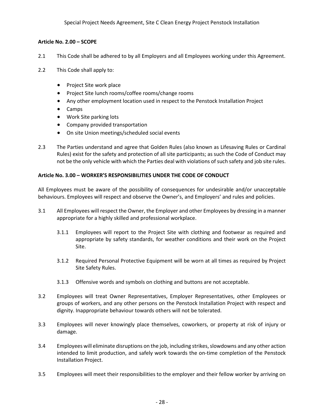## **Article No. 2.00 – SCOPE**

- 2.1 This Code shall be adhered to by all Employers and all Employees working under this Agreement.
- 2.2 This Code shall apply to:
	- Project Site work place
	- Project Site lunch rooms/coffee rooms/change rooms
	- Any other employment location used in respect to the Penstock Installation Project
	- Camps
	- Work Site parking lots
	- Company provided transportation
	- On site Union meetings/scheduled social events
- 2.3 The Parties understand and agree that Golden Rules (also known as Lifesaving Rules or Cardinal Rules) exist for the safety and protection of all site participants; as such the Code of Conduct may not be the only vehicle with which the Parties deal with violations of such safety and job site rules.

## **Article No. 3.00 – WORKER'S RESPONSIBILITIES UNDER THE CODE OF CONDUCT**

All Employees must be aware of the possibility of consequences for undesirable and/or unacceptable behaviours. Employees will respect and observe the Owner's, and Employers' and rules and policies.

- 3.1 All Employees will respect the Owner, the Employer and other Employees by dressing in a manner appropriate for a highly skilled and professional workplace.
	- 3.1.1 Employees will report to the Project Site with clothing and footwear as required and appropriate by safety standards, for weather conditions and their work on the Project Site.
	- 3.1.2 Required Personal Protective Equipment will be worn at all times as required by Project Site Safety Rules.
	- 3.1.3 Offensive words and symbols on clothing and buttons are not acceptable.
- 3.2 Employees will treat Owner Representatives, Employer Representatives, other Employees or groups of workers, and any other persons on the Penstock Installation Project with respect and dignity. Inappropriate behaviour towards others will not be tolerated.
- 3.3 Employees will never knowingly place themselves, coworkers, or property at risk of injury or damage.
- 3.4 Employees will eliminate disruptions on the job, including strikes, slowdowns and any other action intended to limit production, and safely work towards the on-time completion of the Penstock Installation Project.
- 3.5 Employees will meet their responsibilities to the employer and their fellow worker by arriving on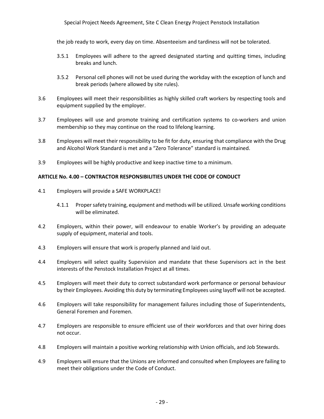## Special Project Needs Agreement, Site C Clean Energy Project Penstock Installation

the job ready to work, every day on time. Absenteeism and tardiness will not be tolerated.

- 3.5.1 Employees will adhere to the agreed designated starting and quitting times, including breaks and lunch.
- 3.5.2 Personal cell phones will not be used during the workday with the exception of lunch and break periods (where allowed by site rules).
- 3.6 Employees will meet their responsibilities as highly skilled craft workers by respecting tools and equipment supplied by the employer.
- 3.7 Employees will use and promote training and certification systems to co-workers and union membership so they may continue on the road to lifelong learning.
- 3.8 Employees will meet their responsibility to be fit for duty, ensuring that compliance with the Drug and Alcohol Work Standard is met and a "Zero Tolerance" standard is maintained.
- 3.9 Employees will be highly productive and keep inactive time to a minimum.

#### **ARTICLE No. 4.00 – CONTRACTOR RESPONSIBILITIES UNDER THE CODE OF CONDUCT**

- 4.1 Employers will provide a SAFE WORKPLACE!
	- 4.1.1 Proper safety training, equipment and methods will be utilized. Unsafe working conditions will be eliminated.
- 4.2 Employers, within their power, will endeavour to enable Worker's by providing an adequate supply of equipment, material and tools.
- 4.3 Employers will ensure that work is properly planned and laid out.
- 4.4 Employers will select quality Supervision and mandate that these Supervisors act in the best interests of the Penstock Installation Project at all times.
- 4.5 Employers will meet their duty to correct substandard work performance or personal behaviour by their Employees. Avoiding this duty by terminating Employees using layoff will not be accepted.
- 4.6 Employers will take responsibility for management failures including those of Superintendents, General Foremen and Foremen.
- 4.7 Employers are responsible to ensure efficient use of their workforces and that over hiring does not occur.
- 4.8 Employers will maintain a positive working relationship with Union officials, and Job Stewards.
- 4.9 Employers will ensure that the Unions are informed and consulted when Employees are failing to meet their obligations under the Code of Conduct.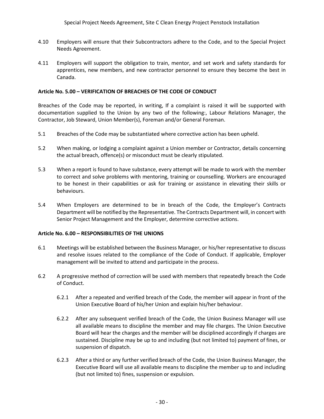- 4.10 Employers will ensure that their Subcontractors adhere to the Code, and to the Special Project Needs Agreement.
- 4.11 Employers will support the obligation to train, mentor, and set work and safety standards for apprentices, new members, and new contractor personnel to ensure they become the best in Canada.

## **Article No. 5.00 – VERIFICATION OF BREACHES OF THE CODE OF CONDUCT**

Breaches of the Code may be reported, in writing, If a complaint is raised it will be supported with documentation supplied to the Union by any two of the following:, Labour Relations Manager, the Contractor, Job Steward, Union Member(s), Foreman and/or General Foreman.

- 5.1 Breaches of the Code may be substantiated where corrective action has been upheld.
- 5.2 When making, or lodging a complaint against a Union member or Contractor, details concerning the actual breach, offence(s) or misconduct must be clearly stipulated.
- 5.3 When a report is found to have substance, every attempt will be made to work with the member to correct and solve problems with mentoring, training or counselling. Workers are encouraged to be honest in their capabilities or ask for training or assistance in elevating their skills or behaviours.
- 5.4 When Employers are determined to be in breach of the Code, the Employer's Contracts Department will be notified by the Representative. The Contracts Department will, in concert with Senior Project Management and the Employer, determine corrective actions.

#### **Article No. 6.00 – RESPONSIBILITIES OF THE UNIONS**

- 6.1 Meetings will be established between the Business Manager, or his/her representative to discuss and resolve issues related to the compliance of the Code of Conduct. If applicable, Employer management will be invited to attend and participate in the process.
- 6.2 A progressive method of correction will be used with members that repeatedly breach the Code of Conduct.
	- 6.2.1 After a repeated and verified breach of the Code, the member will appear in front of the Union Executive Board of his/her Union and explain his/her behaviour.
	- 6.2.2 After any subsequent verified breach of the Code, the Union Business Manager will use all available means to discipline the member and may file charges. The Union Executive Board will hear the charges and the member will be disciplined accordingly if charges are sustained. Discipline may be up to and including (but not limited to) payment of fines, or suspension of dispatch.
	- 6.2.3 After a third or any further verified breach of the Code, the Union Business Manager, the Executive Board will use all available means to discipline the member up to and including (but not limited to) fines, suspension or expulsion.